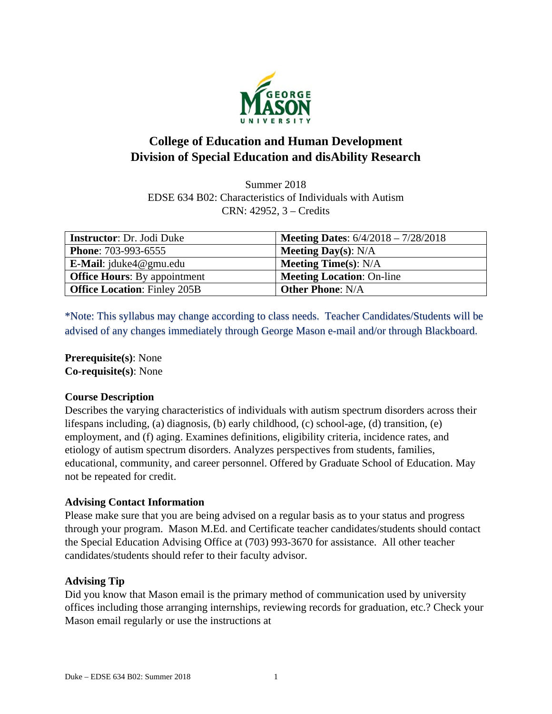

# **College of Education and Human Development Division of Special Education and disAbility Research**

Summer 2018 EDSE 634 B02: Characteristics of Individuals with Autism CRN: 42952, 3 – Credits

| <b>Instructor:</b> Dr. Jodi Duke    | <b>Meeting Dates:</b> $6/4/2018 - 7/28/2018$ |
|-------------------------------------|----------------------------------------------|
| <b>Phone: 703-993-6555</b>          | <b>Meeting Day(s):</b> $N/A$                 |
| <b>E-Mail</b> : $jduke4@gmu.edu$    | <b>Meeting Time(s):</b> $N/A$                |
| <b>Office Hours:</b> By appointment | <b>Meeting Location: On-line</b>             |
| <b>Office Location: Finley 205B</b> | <b>Other Phone: N/A</b>                      |

\*Note: This syllabus may change according to class needs. Teacher Candidates/Students will be advised of any changes immediately through George Mason e-mail and/or through Blackboard.

**Prerequisite(s)**: None **Co-requisite(s)**: None

### **Course Description**

Describes the varying characteristics of individuals with autism spectrum disorders across their lifespans including, (a) diagnosis, (b) early childhood, (c) school-age, (d) transition, (e) employment, and (f) aging. Examines definitions, eligibility criteria, incidence rates, and etiology of autism spectrum disorders. Analyzes perspectives from students, families, educational, community, and career personnel. Offered by Graduate School of Education. May not be repeated for credit.

# **Advising Contact Information**

Please make sure that you are being advised on a regular basis as to your status and progress through your program. Mason M.Ed. and Certificate teacher candidates/students should contact the Special Education Advising Office at (703) 993-3670 for assistance. All other teacher candidates/students should refer to their faculty advisor.

# **Advising Tip**

Did you know that Mason email is the primary method of communication used by university offices including those arranging internships, reviewing records for graduation, etc.? Check your Mason email regularly or use the instructions at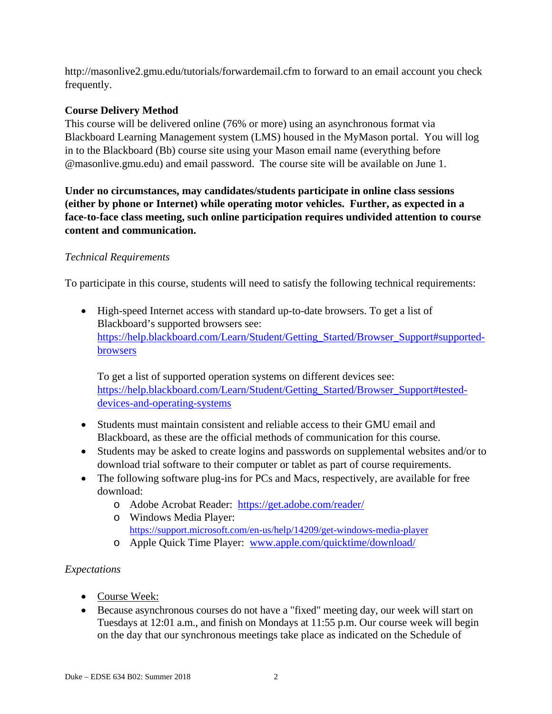http://masonlive2.gmu.edu/tutorials/forwardemail.cfm to forward to an email account you check frequently.

# **Course Delivery Method**

This course will be delivered online (76% or more) using an asynchronous format via Blackboard Learning Management system (LMS) housed in the MyMason portal. You will log in to the Blackboard (Bb) course site using your Mason email name (everything before @masonlive.gmu.edu) and email password. The course site will be available on June 1.

**Under no circumstances, may candidates/students participate in online class sessions (either by phone or Internet) while operating motor vehicles. Further, as expected in a face-to-face class meeting, such online participation requires undivided attention to course content and communication.** 

# *Technical Requirements*

To participate in this course, students will need to satisfy the following technical requirements:

• High-speed Internet access with standard up-to-date browsers. To get a list of Blackboard's supported browsers see: https://help.blackboard.com/Learn/Student/Getting\_Started/Browser\_Support#supportedbrowsers

To get a list of supported operation systems on different devices see: https://help.blackboard.com/Learn/Student/Getting\_Started/Browser\_Support#testeddevices-and-operating-systems

- Students must maintain consistent and reliable access to their GMU email and Blackboard, as these are the official methods of communication for this course.
- Students may be asked to create logins and passwords on supplemental websites and/or to download trial software to their computer or tablet as part of course requirements.
- The following software plug-ins for PCs and Macs, respectively, are available for free download:
	- o Adobe Acrobat Reader: https://get.adobe.com/reader/
	- o Windows Media Player: https://support.microsoft.com/en-us/help/14209/get-windows-media-player o Apple Quick Time Player: www.apple.com/quicktime/download/
	-

# *Expectations*

- Course Week:
- Because asynchronous courses do not have a "fixed" meeting day, our week will start on Tuesdays at 12:01 a.m., and finish on Mondays at 11:55 p.m. Our course week will begin on the day that our synchronous meetings take place as indicated on the Schedule of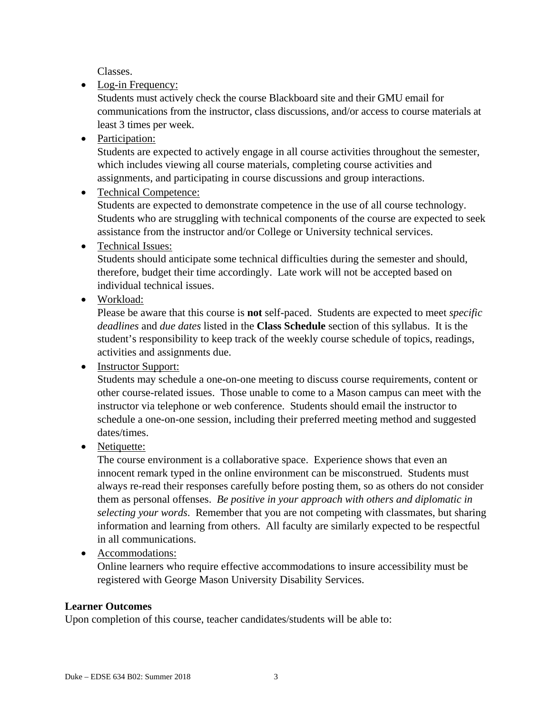Classes.

• Log-in Frequency:

Students must actively check the course Blackboard site and their GMU email for communications from the instructor, class discussions, and/or access to course materials at least 3 times per week.

• Participation:

Students are expected to actively engage in all course activities throughout the semester, which includes viewing all course materials, completing course activities and assignments, and participating in course discussions and group interactions.

• Technical Competence:

Students are expected to demonstrate competence in the use of all course technology. Students who are struggling with technical components of the course are expected to seek assistance from the instructor and/or College or University technical services.

• Technical Issues:

Students should anticipate some technical difficulties during the semester and should, therefore, budget their time accordingly. Late work will not be accepted based on individual technical issues.

• Workload:

Please be aware that this course is **not** self-paced. Students are expected to meet *specific deadlines* and *due dates* listed in the **Class Schedule** section of this syllabus. It is the student's responsibility to keep track of the weekly course schedule of topics, readings, activities and assignments due.

• Instructor Support:

Students may schedule a one-on-one meeting to discuss course requirements, content or other course-related issues. Those unable to come to a Mason campus can meet with the instructor via telephone or web conference. Students should email the instructor to schedule a one-on-one session, including their preferred meeting method and suggested dates/times.

• Netiquette:

The course environment is a collaborative space. Experience shows that even an innocent remark typed in the online environment can be misconstrued. Students must always re-read their responses carefully before posting them, so as others do not consider them as personal offenses. *Be positive in your approach with others and diplomatic in selecting your words*. Remember that you are not competing with classmates, but sharing information and learning from others. All faculty are similarly expected to be respectful in all communications.

• Accommodations:

Online learners who require effective accommodations to insure accessibility must be registered with George Mason University Disability Services.

# **Learner Outcomes**

Upon completion of this course, teacher candidates/students will be able to: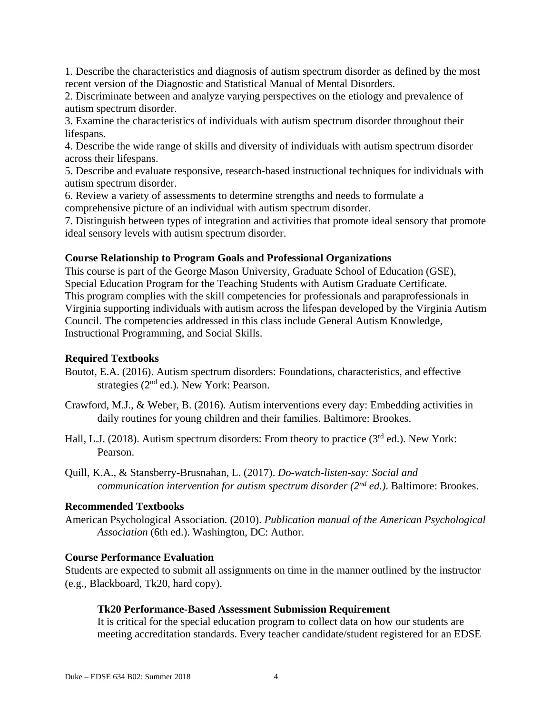1. Describe the characteristics and diagnosis of autism spectrum disorder as defined by the most recent version of the Diagnostic and Statistical Manual of Mental Disorders.

2. Discriminate between and analyze varying perspectives on the etiology and prevalence of autism spectrum disorder.

3. Examine the characteristics of individuals with autism spectrum disorder throughout their lifespans.

4. Describe the wide range of skills and diversity of individuals with autism spectrum disorder across their lifespans.

5. Describe and evaluate responsive, research-based instructional techniques for individuals with autism spectrum disorder.

6. Review a variety of assessments to determine strengths and needs to formulate a comprehensive picture of an individual with autism spectrum disorder.

7. Distinguish between types of integration and activities that promote ideal sensory that promote ideal sensory levels with autism spectrum disorder.

### **Course Relationship to Program Goals and Professional Organizations**

This course is part of the George Mason University, Graduate School of Education (GSE), Special Education Program for the Teaching Students with Autism Graduate Certificate. This program complies with the skill competencies for professionals and paraprofessionals in Virginia supporting individuals with autism across the lifespan developed by the Virginia Autism Council. The competencies addressed in this class include General Autism Knowledge, Instructional Programming, and Social Skills.

### **Required Textbooks**

- Boutot, E.A. (2016). Autism spectrum disorders: Foundations, characteristics, and effective strategies ( $2<sup>nd</sup>$  ed.). New York: Pearson.
- Crawford, M.J., & Weber, B. (2016). Autism interventions every day: Embedding activities in daily routines for young children and their families. Baltimore: Brookes.
- Hall, L.J. (2018). Autism spectrum disorders: From theory to practice (3<sup>rd</sup> ed.). New York: Pearson.
- Quill, K.A., & Stansberry-Brusnahan, L. (2017). *Do-watch-listen-say: Social and communication intervention for autism spectrum disorder (2nd ed.)*. Baltimore: Brookes.

### **Recommended Textbooks**

American Psychological Association*.* (2010). *Publication manual of the American Psychological Association* (6th ed.). Washington, DC: Author.

# **Course Performance Evaluation**

Students are expected to submit all assignments on time in the manner outlined by the instructor (e.g., Blackboard, Tk20, hard copy).

### **Tk20 Performance-Based Assessment Submission Requirement**

It is critical for the special education program to collect data on how our students are meeting accreditation standards. Every teacher candidate/student registered for an EDSE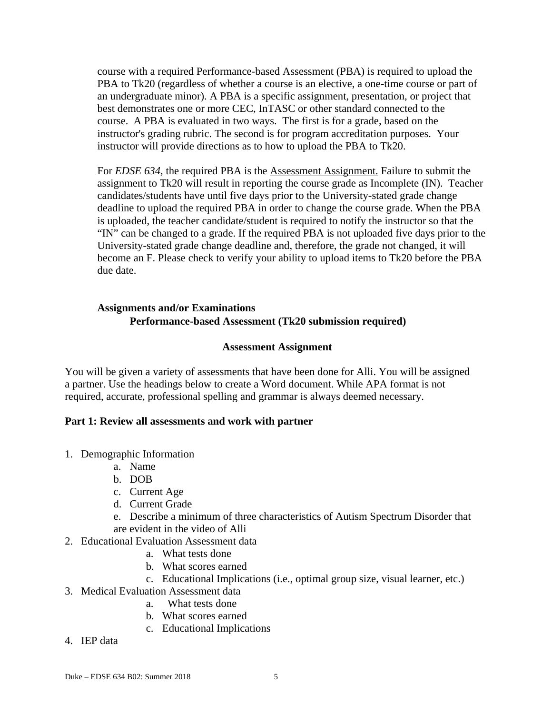course with a required Performance-based Assessment (PBA) is required to upload the PBA to Tk20 (regardless of whether a course is an elective, a one-time course or part of an undergraduate minor). A PBA is a specific assignment, presentation, or project that best demonstrates one or more CEC, InTASC or other standard connected to the course. A PBA is evaluated in two ways. The first is for a grade, based on the instructor's grading rubric. The second is for program accreditation purposes. Your instructor will provide directions as to how to upload the PBA to Tk20.

For *EDSE 634*, the required PBA is the **Assessment Assignment**. Failure to submit the assignment to Tk20 will result in reporting the course grade as Incomplete (IN). Teacher candidates/students have until five days prior to the University-stated grade change deadline to upload the required PBA in order to change the course grade. When the PBA is uploaded, the teacher candidate/student is required to notify the instructor so that the "IN" can be changed to a grade. If the required PBA is not uploaded five days prior to the University-stated grade change deadline and, therefore, the grade not changed, it will become an F. Please check to verify your ability to upload items to Tk20 before the PBA due date.

### **Assignments and/or Examinations Performance-based Assessment (Tk20 submission required)**

### **Assessment Assignment**

You will be given a variety of assessments that have been done for Alli. You will be assigned a partner. Use the headings below to create a Word document. While APA format is not required, accurate, professional spelling and grammar is always deemed necessary.

#### **Part 1: Review all assessments and work with partner**

- 1. Demographic Information
	- a. Name
	- b. DOB
	- c. Current Age
	- d. Current Grade
	- e. Describe a minimum of three characteristics of Autism Spectrum Disorder that are evident in the video of Alli
- 2. Educational Evaluation Assessment data
	- a. What tests done
	- b. What scores earned
- c. Educational Implications (i.e., optimal group size, visual learner, etc.)
- 3. Medical Evaluation Assessment data
	- a. What tests done
	- b. What scores earned
	- c. Educational Implications
- 4. IEP data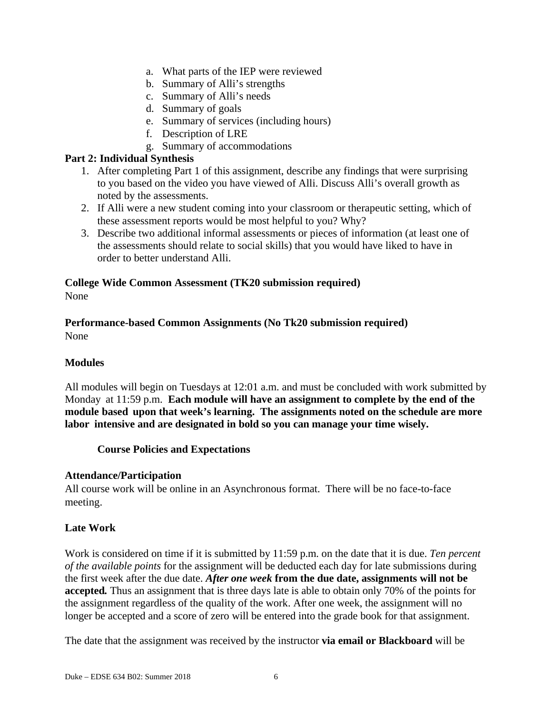- a. What parts of the IEP were reviewed
- b. Summary of Alli's strengths
- c. Summary of Alli's needs
- d. Summary of goals
- e. Summary of services (including hours)
- f. Description of LRE
- g. Summary of accommodations

### **Part 2: Individual Synthesis**

- 1. After completing Part 1 of this assignment, describe any findings that were surprising to you based on the video you have viewed of Alli. Discuss Alli's overall growth as noted by the assessments.
- 2. If Alli were a new student coming into your classroom or therapeutic setting, which of these assessment reports would be most helpful to you? Why?
- 3. Describe two additional informal assessments or pieces of information (at least one of the assessments should relate to social skills) that you would have liked to have in order to better understand Alli.

### **College Wide Common Assessment (TK20 submission required)**  None

# **Performance-based Common Assignments (No Tk20 submission required)**  None

# **Modules**

All modules will begin on Tuesdays at 12:01 a.m. and must be concluded with work submitted by Monday at 11:59 p.m. **Each module will have an assignment to complete by the end of the module based upon that week's learning. The assignments noted on the schedule are more labor intensive and are designated in bold so you can manage your time wisely.**

### **Course Policies and Expectations**

### **Attendance/Participation**

All course work will be online in an Asynchronous format. There will be no face-to-face meeting.

# **Late Work**

Work is considered on time if it is submitted by 11:59 p.m. on the date that it is due. *Ten percent of the available points* for the assignment will be deducted each day for late submissions during the first week after the due date. *After one week* **from the due date, assignments will not be accepted***.* Thus an assignment that is three days late is able to obtain only 70% of the points for the assignment regardless of the quality of the work. After one week, the assignment will no longer be accepted and a score of zero will be entered into the grade book for that assignment.

The date that the assignment was received by the instructor **via email or Blackboard** will be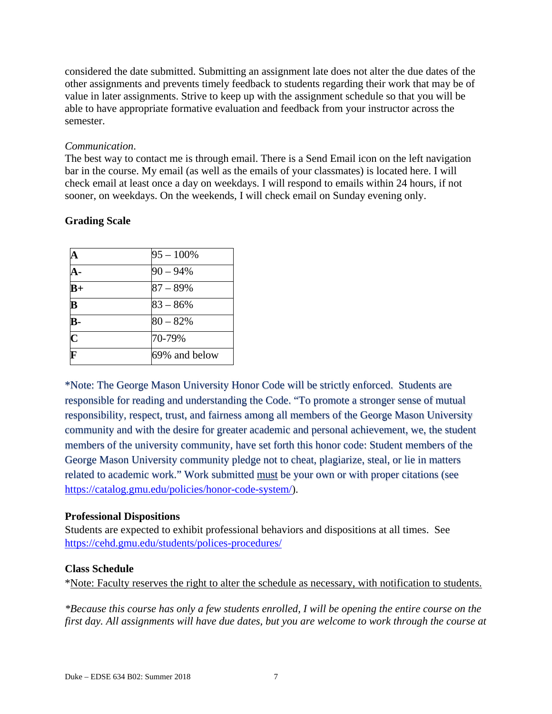considered the date submitted. Submitting an assignment late does not alter the due dates of the other assignments and prevents timely feedback to students regarding their work that may be of value in later assignments. Strive to keep up with the assignment schedule so that you will be able to have appropriate formative evaluation and feedback from your instructor across the semester.

### *Communication*.

The best way to contact me is through email. There is a Send Email icon on the left navigation bar in the course. My email (as well as the emails of your classmates) is located here. I will check email at least once a day on weekdays. I will respond to emails within 24 hours, if not sooner, on weekdays. On the weekends, I will check email on Sunday evening only.

# **Grading Scale**

| A                       | $95 - 100\%$  |
|-------------------------|---------------|
| А-                      | $90 - 94\%$   |
| $B+$                    | $87 - 89%$    |
| $\overline{\mathbf{B}}$ | $83 - 86%$    |
| $\mathbf{B}$            | $80 - 82%$    |
| $\overline{\mathbf{C}}$ | 70-79%        |
| $\overline{\mathbf{F}}$ | 69% and below |

\*Note: The George Mason University Honor Code will be strictly enforced. Students are responsible for reading and understanding the Code. "To promote a stronger sense of mutual responsibility, respect, trust, and fairness among all members of the George Mason University community and with the desire for greater academic and personal achievement, we, the student members of the university community, have set forth this honor code: Student members of the George Mason University community pledge not to cheat, plagiarize, steal, or lie in matters related to academic work." Work submitted must be your own or with proper citations (see https://catalog.gmu.edu/policies/honor-code-system/).

# **Professional Dispositions**

Students are expected to exhibit professional behaviors and dispositions at all times. See https://cehd.gmu.edu/students/polices-procedures/

### **Class Schedule**

\*Note: Faculty reserves the right to alter the schedule as necessary, with notification to students.

*\*Because this course has only a few students enrolled, I will be opening the entire course on the first day. All assignments will have due dates, but you are welcome to work through the course at*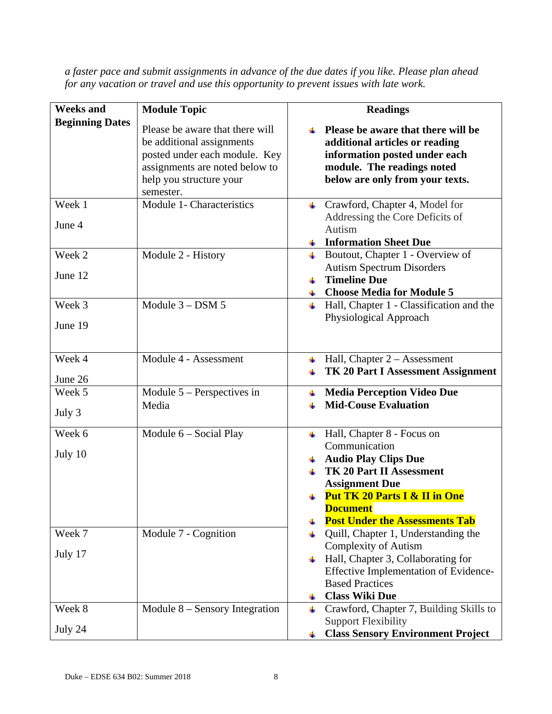| <b>Weeks and</b>       | <b>Module Topic</b>                                                                                                                                                     | <b>Readings</b>                                                                                                                                                                                                                                              |  |  |
|------------------------|-------------------------------------------------------------------------------------------------------------------------------------------------------------------------|--------------------------------------------------------------------------------------------------------------------------------------------------------------------------------------------------------------------------------------------------------------|--|--|
| <b>Beginning Dates</b> | Please be aware that there will<br>be additional assignments<br>posted under each module. Key<br>assignments are noted below to<br>help you structure your<br>semester. | Please be aware that there will be<br>additional articles or reading<br>information posted under each<br>module. The readings noted<br>below are only from your texts.                                                                                       |  |  |
| Week 1<br>June 4       | Module 1- Characteristics                                                                                                                                               | $\perp$ Crawford, Chapter 4, Model for<br>Addressing the Core Deficits of<br>Autism<br>+ Information Sheet Due                                                                                                                                               |  |  |
| Week 2<br>June 12      | Module 2 - History                                                                                                                                                      | $\overline{\phantom{a}}$ Boutout, Chapter 1 - Overview of<br><b>Autism Spectrum Disorders</b><br><b>Timeline Due</b><br>₩.<br><b>Choose Media for Module 5</b><br>- ⊞                                                                                        |  |  |
| Week 3<br>June 19      | Module $3 -$ DSM $5$                                                                                                                                                    | Hall, Chapter 1 - Classification and the<br><b>H</b><br>Physiological Approach                                                                                                                                                                               |  |  |
| Week 4<br>June 26      | Module 4 - Assessment                                                                                                                                                   | $\overline{\phantom{a}}$ Hall, Chapter 2 – Assessment<br><b>TK 20 Part I Assessment Assignment</b>                                                                                                                                                           |  |  |
| Week 5<br>July 3       | Module $5$ – Perspectives in<br>Media                                                                                                                                   | <b>Media Perception Video Due</b><br>-∎<br><b>Mid-Couse Evaluation</b>                                                                                                                                                                                       |  |  |
| Week 6<br>July 10      | Module $6$ – Social Play                                                                                                                                                | $\leftarrow$ Hall, Chapter 8 - Focus on<br>Communication<br>+ Audio Play Clips Due<br><b>TK 20 Part II Assessment</b><br><b>Assignment Due</b><br><b>Put TK 20 Parts I &amp; II in One</b><br>₩.<br><b>Document</b><br><b>Post Under the Assessments Tab</b> |  |  |
| Week 7<br>July 17      | Module 7 - Cognition                                                                                                                                                    | Quill, Chapter 1, Understanding the<br><b>Complexity of Autism</b><br>Hall, Chapter 3, Collaborating for<br>Effective Implementation of Evidence-<br><b>Based Practices</b><br><b>Class Wiki Due</b><br>÷                                                    |  |  |
| Week 8<br>July 24      | Module 8 – Sensory Integration                                                                                                                                          | Crawford, Chapter 7, Building Skills to<br>÷<br><b>Support Flexibility</b><br><b>Class Sensory Environment Project</b>                                                                                                                                       |  |  |

*a faster pace and submit assignments in advance of the due dates if you like. Please plan ahead for any vacation or travel and use this opportunity to prevent issues with late work.*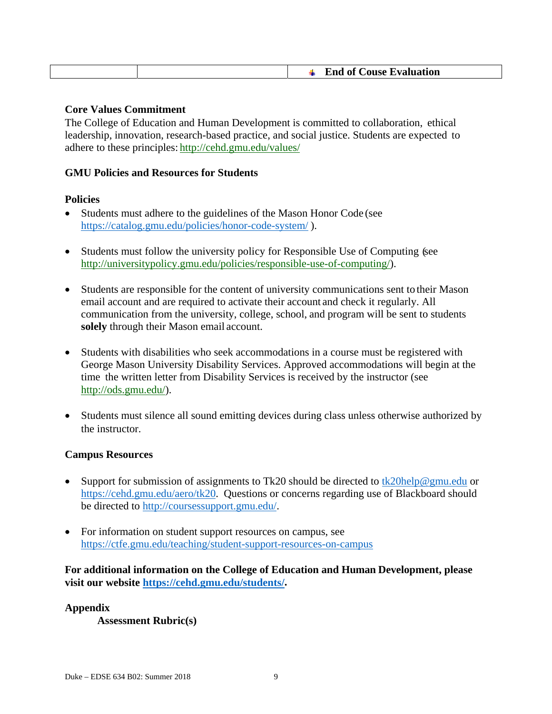|  | <b>End of Couse Evaluation</b> |
|--|--------------------------------|
|  |                                |

#### **Core Values Commitment**

The College of Education and Human Development is committed to collaboration, ethical leadership, innovation, research-based practice, and social justice. Students are expected to adhere to these principles: http://cehd.gmu.edu/values/

#### **GMU Policies and Resources for Students**

#### **Policies**

- Students must adhere to the guidelines of the Mason Honor Code (see https://catalog.gmu.edu/policies/honor-code-system/ ).
- Students must follow the university policy for Responsible Use of Computing (see http://universitypolicy.gmu.edu/policies/responsible-use-of-computing/).
- Students are responsible for the content of university communications sent to their Mason email account and are required to activate their account and check it regularly. All communication from the university, college, school, and program will be sent to students **solely** through their Mason email account.
- Students with disabilities who seek accommodations in a course must be registered with George Mason University Disability Services. Approved accommodations will begin at the time the written letter from Disability Services is received by the instructor (see http://ods.gmu.edu/).
- Students must silence all sound emitting devices during class unless otherwise authorized by the instructor.

#### **Campus Resources**

- Support for submission of assignments to Tk20 should be directed to  $\frac{tk20\text{help@gmu.edu}}{tk20\text{help@gmu.edu}}$  or https://cehd.gmu.edu/aero/tk20. Questions or concerns regarding use of Blackboard should be directed to http://coursessupport.gmu.edu/.
- For information on student support resources on campus, see https://ctfe.gmu.edu/teaching/student-support-resources-on-campus

**For additional information on the College of Education and Human Development, please visit our website https://cehd.gmu.edu/students/.** 

#### **Appendix**

**Assessment Rubric(s)**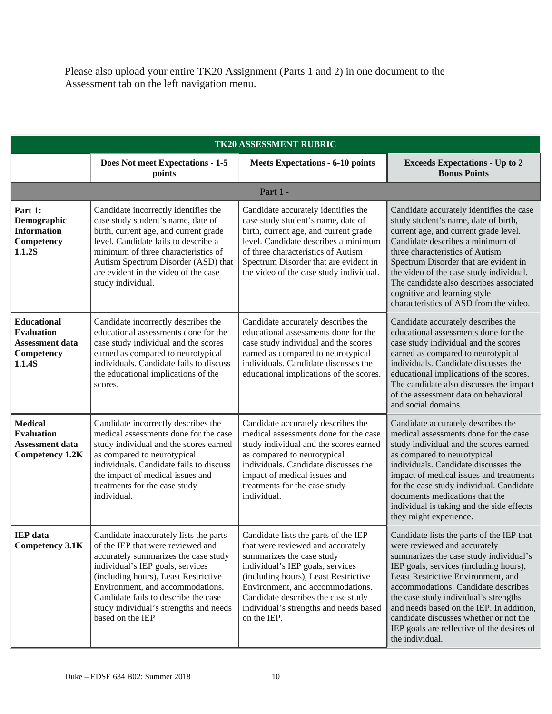Please also upload your entire TK20 Assignment (Parts 1 and 2) in one document to the Assessment tab on the left navigation menu.

| TK20 ASSESSMENT RUBRIC                                                                    |                                                                                                                                                                                                                                                                                                                                           |                                                                                                                                                                                                                                                                                                                       |                                                                                                                                                                                                                                                                                                                                                                                                                                            |  |
|-------------------------------------------------------------------------------------------|-------------------------------------------------------------------------------------------------------------------------------------------------------------------------------------------------------------------------------------------------------------------------------------------------------------------------------------------|-----------------------------------------------------------------------------------------------------------------------------------------------------------------------------------------------------------------------------------------------------------------------------------------------------------------------|--------------------------------------------------------------------------------------------------------------------------------------------------------------------------------------------------------------------------------------------------------------------------------------------------------------------------------------------------------------------------------------------------------------------------------------------|--|
|                                                                                           | Does Not meet Expectations - 1-5<br>points                                                                                                                                                                                                                                                                                                | <b>Meets Expectations - 6-10 points</b>                                                                                                                                                                                                                                                                               | <b>Exceeds Expectations - Up to 2</b><br><b>Bonus Points</b>                                                                                                                                                                                                                                                                                                                                                                               |  |
| Part 1 -                                                                                  |                                                                                                                                                                                                                                                                                                                                           |                                                                                                                                                                                                                                                                                                                       |                                                                                                                                                                                                                                                                                                                                                                                                                                            |  |
| Part 1:<br>Demographic<br><b>Information</b><br>Competency<br>1.1.2S                      | Candidate incorrectly identifies the<br>case study student's name, date of<br>birth, current age, and current grade<br>level. Candidate fails to describe a<br>minimum of three characteristics of<br>Autism Spectrum Disorder (ASD) that<br>are evident in the video of the case<br>study individual.                                    | Candidate accurately identifies the<br>case study student's name, date of<br>birth, current age, and current grade<br>level. Candidate describes a minimum<br>of three characteristics of Autism<br>Spectrum Disorder that are evident in<br>the video of the case study individual.                                  | Candidate accurately identifies the case<br>study student's name, date of birth,<br>current age, and current grade level.<br>Candidate describes a minimum of<br>three characteristics of Autism<br>Spectrum Disorder that are evident in<br>the video of the case study individual.<br>The candidate also describes associated<br>cognitive and learning style<br>characteristics of ASD from the video.                                  |  |
| <b>Educational</b><br><b>Evaluation</b><br><b>Assessment data</b><br>Competency<br>1.1.4S | Candidate incorrectly describes the<br>educational assessments done for the<br>case study individual and the scores<br>earned as compared to neurotypical<br>individuals. Candidate fails to discuss<br>the educational implications of the<br>scores.                                                                                    | Candidate accurately describes the<br>educational assessments done for the<br>case study individual and the scores<br>earned as compared to neurotypical<br>individuals. Candidate discusses the<br>educational implications of the scores.                                                                           | Candidate accurately describes the<br>educational assessments done for the<br>case study individual and the scores<br>earned as compared to neurotypical<br>individuals. Candidate discusses the<br>educational implications of the scores.<br>The candidate also discusses the impact<br>of the assessment data on behavioral<br>and social domains.                                                                                      |  |
| <b>Medical</b><br><b>Evaluation</b><br><b>Assessment data</b><br><b>Competency 1.2K</b>   | Candidate incorrectly describes the<br>medical assessments done for the case<br>study individual and the scores earned<br>as compared to neurotypical<br>individuals. Candidate fails to discuss<br>the impact of medical issues and<br>treatments for the case study<br>individual.                                                      | Candidate accurately describes the<br>medical assessments done for the case<br>study individual and the scores earned<br>as compared to neurotypical<br>individuals. Candidate discusses the<br>impact of medical issues and<br>treatments for the case study<br>individual.                                          | Candidate accurately describes the<br>medical assessments done for the case<br>study individual and the scores earned<br>as compared to neurotypical<br>individuals. Candidate discusses the<br>impact of medical issues and treatments<br>for the case study individual. Candidate<br>documents medications that the<br>individual is taking and the side effects<br>they might experience.                                               |  |
| <b>IEP</b> data<br><b>Competency 3.1K</b>                                                 | Candidate inaccurately lists the parts<br>of the IEP that were reviewed and<br>accurately summarizes the case study<br>individual's IEP goals, services<br>(including hours), Least Restrictive<br>Environment, and accommodations.<br>Candidate fails to describe the case<br>study individual's strengths and needs<br>based on the IEP | Candidate lists the parts of the IEP<br>that were reviewed and accurately<br>summarizes the case study<br>individual's IEP goals, services<br>(including hours), Least Restrictive<br>Environment, and accommodations.<br>Candidate describes the case study<br>individual's strengths and needs based<br>on the IEP. | Candidate lists the parts of the IEP that<br>were reviewed and accurately<br>summarizes the case study individual's<br>IEP goals, services (including hours),<br>Least Restrictive Environment, and<br>accommodations. Candidate describes<br>the case study individual's strengths<br>and needs based on the IEP. In addition,<br>candidate discusses whether or not the<br>IEP goals are reflective of the desires of<br>the individual. |  |